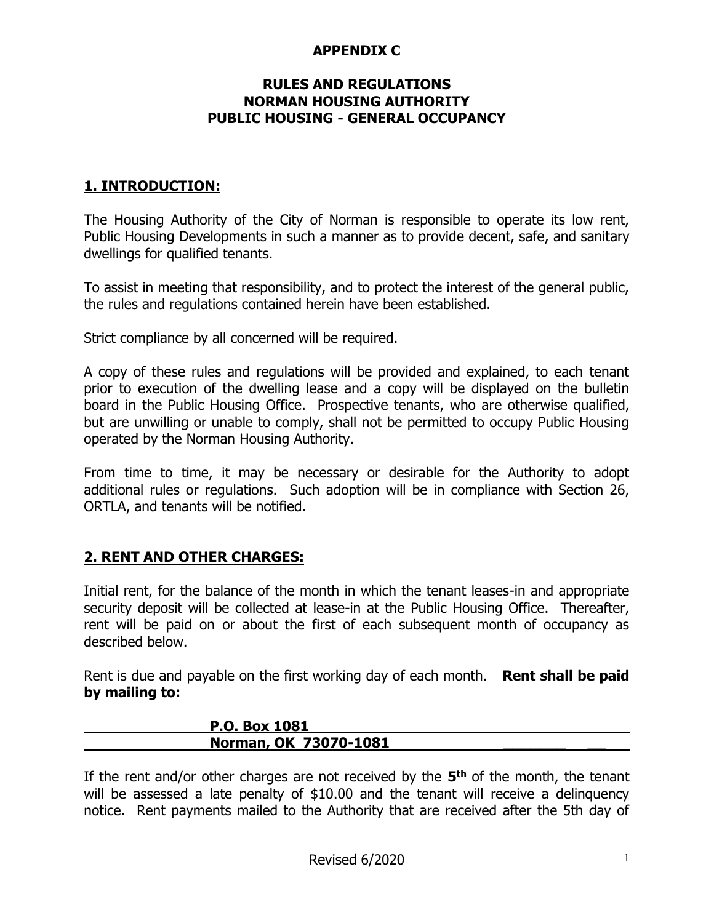#### **APPENDIX C**

#### **RULES AND REGULATIONS NORMAN HOUSING AUTHORITY PUBLIC HOUSING - GENERAL OCCUPANCY**

### **1. INTRODUCTION:**

The Housing Authority of the City of Norman is responsible to operate its low rent, Public Housing Developments in such a manner as to provide decent, safe, and sanitary dwellings for qualified tenants.

To assist in meeting that responsibility, and to protect the interest of the general public, the rules and regulations contained herein have been established.

Strict compliance by all concerned will be required.

A copy of these rules and regulations will be provided and explained, to each tenant prior to execution of the dwelling lease and a copy will be displayed on the bulletin board in the Public Housing Office. Prospective tenants, who are otherwise qualified, but are unwilling or unable to comply, shall not be permitted to occupy Public Housing operated by the Norman Housing Authority.

From time to time, it may be necessary or desirable for the Authority to adopt additional rules or regulations. Such adoption will be in compliance with Section 26, ORTLA, and tenants will be notified.

#### **2. RENT AND OTHER CHARGES:**

Initial rent, for the balance of the month in which the tenant leases-in and appropriate security deposit will be collected at lease-in at the Public Housing Office. Thereafter, rent will be paid on or about the first of each subsequent month of occupancy as described below.

Rent is due and payable on the first working day of each month. **Rent shall be paid by mailing to:**

| P.O. Box 1081         |  |
|-----------------------|--|
| Norman, OK 73070-1081 |  |

If the rent and/or other charges are not received by the **5 th** of the month, the tenant will be assessed a late penalty of \$10.00 and the tenant will receive a delinquency notice. Rent payments mailed to the Authority that are received after the 5th day of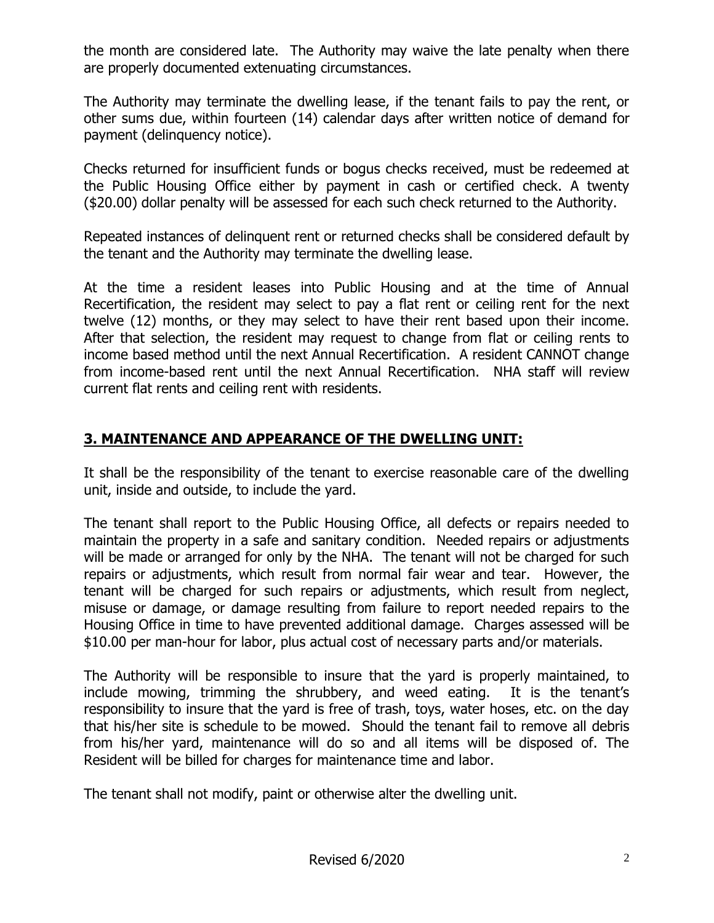the month are considered late. The Authority may waive the late penalty when there are properly documented extenuating circumstances.

The Authority may terminate the dwelling lease, if the tenant fails to pay the rent, or other sums due, within fourteen (14) calendar days after written notice of demand for payment (delinquency notice).

Checks returned for insufficient funds or bogus checks received, must be redeemed at the Public Housing Office either by payment in cash or certified check. A twenty (\$20.00) dollar penalty will be assessed for each such check returned to the Authority.

Repeated instances of delinquent rent or returned checks shall be considered default by the tenant and the Authority may terminate the dwelling lease.

At the time a resident leases into Public Housing and at the time of Annual Recertification, the resident may select to pay a flat rent or ceiling rent for the next twelve (12) months, or they may select to have their rent based upon their income. After that selection, the resident may request to change from flat or ceiling rents to income based method until the next Annual Recertification. A resident CANNOT change from income-based rent until the next Annual Recertification. NHA staff will review current flat rents and ceiling rent with residents.

### **3. MAINTENANCE AND APPEARANCE OF THE DWELLING UNIT:**

It shall be the responsibility of the tenant to exercise reasonable care of the dwelling unit, inside and outside, to include the yard.

The tenant shall report to the Public Housing Office, all defects or repairs needed to maintain the property in a safe and sanitary condition. Needed repairs or adjustments will be made or arranged for only by the NHA. The tenant will not be charged for such repairs or adjustments, which result from normal fair wear and tear. However, the tenant will be charged for such repairs or adjustments, which result from neglect, misuse or damage, or damage resulting from failure to report needed repairs to the Housing Office in time to have prevented additional damage. Charges assessed will be \$10.00 per man-hour for labor, plus actual cost of necessary parts and/or materials.

The Authority will be responsible to insure that the yard is properly maintained, to include mowing, trimming the shrubbery, and weed eating. It is the tenant's responsibility to insure that the yard is free of trash, toys, water hoses, etc. on the day that his/her site is schedule to be mowed. Should the tenant fail to remove all debris from his/her yard, maintenance will do so and all items will be disposed of. The Resident will be billed for charges for maintenance time and labor.

The tenant shall not modify, paint or otherwise alter the dwelling unit.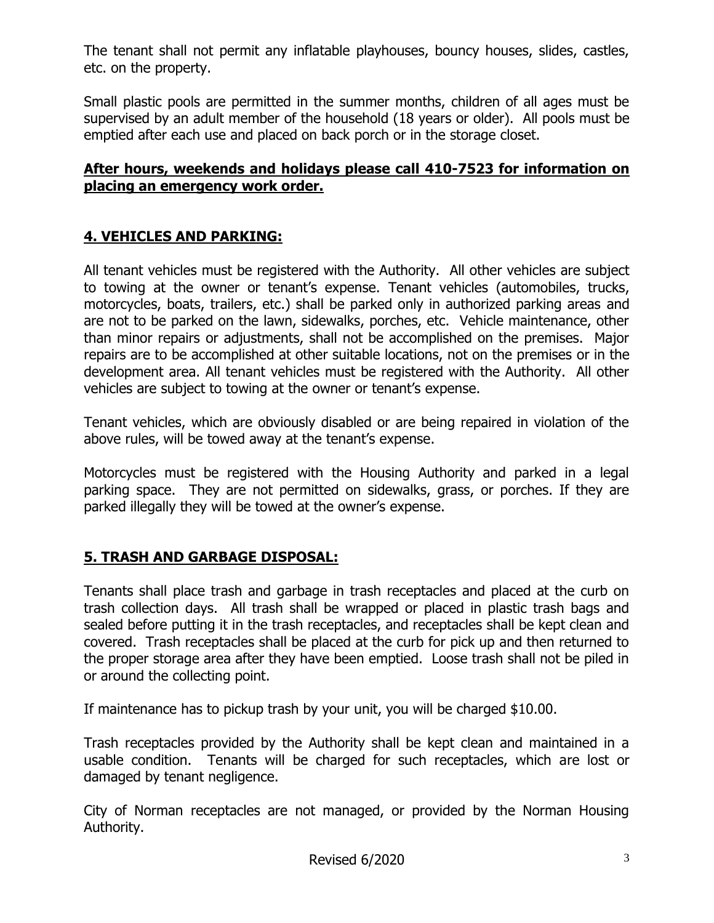The tenant shall not permit any inflatable playhouses, bouncy houses, slides, castles, etc. on the property.

Small plastic pools are permitted in the summer months, children of all ages must be supervised by an adult member of the household (18 years or older). All pools must be emptied after each use and placed on back porch or in the storage closet.

#### **After hours, weekends and holidays please call 410-7523 for information on placing an emergency work order.**

## **4. VEHICLES AND PARKING:**

All tenant vehicles must be registered with the Authority. All other vehicles are subject to towing at the owner or tenant's expense. Tenant vehicles (automobiles, trucks, motorcycles, boats, trailers, etc.) shall be parked only in authorized parking areas and are not to be parked on the lawn, sidewalks, porches, etc. Vehicle maintenance, other than minor repairs or adjustments, shall not be accomplished on the premises. Major repairs are to be accomplished at other suitable locations, not on the premises or in the development area. All tenant vehicles must be registered with the Authority. All other vehicles are subject to towing at the owner or tenant's expense.

Tenant vehicles, which are obviously disabled or are being repaired in violation of the above rules, will be towed away at the tenant's expense.

Motorcycles must be registered with the Housing Authority and parked in a legal parking space. They are not permitted on sidewalks, grass, or porches. If they are parked illegally they will be towed at the owner's expense.

### **5. TRASH AND GARBAGE DISPOSAL:**

Tenants shall place trash and garbage in trash receptacles and placed at the curb on trash collection days. All trash shall be wrapped or placed in plastic trash bags and sealed before putting it in the trash receptacles, and receptacles shall be kept clean and covered. Trash receptacles shall be placed at the curb for pick up and then returned to the proper storage area after they have been emptied. Loose trash shall not be piled in or around the collecting point.

If maintenance has to pickup trash by your unit, you will be charged \$10.00.

Trash receptacles provided by the Authority shall be kept clean and maintained in a usable condition. Tenants will be charged for such receptacles, which are lost or damaged by tenant negligence.

City of Norman receptacles are not managed, or provided by the Norman Housing Authority.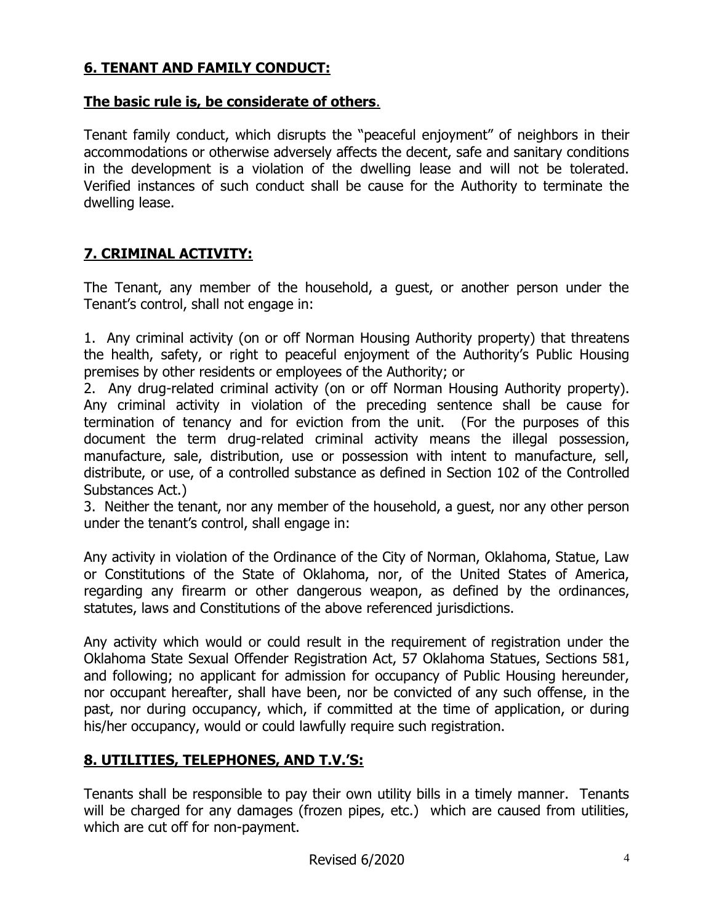# **6. TENANT AND FAMILY CONDUCT:**

#### **The basic rule is, be considerate of others**.

Tenant family conduct, which disrupts the "peaceful enjoyment" of neighbors in their accommodations or otherwise adversely affects the decent, safe and sanitary conditions in the development is a violation of the dwelling lease and will not be tolerated. Verified instances of such conduct shall be cause for the Authority to terminate the dwelling lease.

#### **7. CRIMINAL ACTIVITY:**

The Tenant, any member of the household, a guest, or another person under the Tenant's control, shall not engage in:

1. Any criminal activity (on or off Norman Housing Authority property) that threatens the health, safety, or right to peaceful enjoyment of the Authority's Public Housing premises by other residents or employees of the Authority; or

2. Any drug-related criminal activity (on or off Norman Housing Authority property). Any criminal activity in violation of the preceding sentence shall be cause for termination of tenancy and for eviction from the unit. (For the purposes of this document the term drug-related criminal activity means the illegal possession, manufacture, sale, distribution, use or possession with intent to manufacture, sell, distribute, or use, of a controlled substance as defined in Section 102 of the Controlled Substances Act.)

3. Neither the tenant, nor any member of the household, a guest, nor any other person under the tenant's control, shall engage in:

Any activity in violation of the Ordinance of the City of Norman, Oklahoma, Statue, Law or Constitutions of the State of Oklahoma, nor, of the United States of America, regarding any firearm or other dangerous weapon, as defined by the ordinances, statutes, laws and Constitutions of the above referenced jurisdictions.

Any activity which would or could result in the requirement of registration under the Oklahoma State Sexual Offender Registration Act, 57 Oklahoma Statues, Sections 581, and following; no applicant for admission for occupancy of Public Housing hereunder, nor occupant hereafter, shall have been, nor be convicted of any such offense, in the past, nor during occupancy, which, if committed at the time of application, or during his/her occupancy, would or could lawfully require such registration.

#### **8. UTILITIES, TELEPHONES, AND T.V.'S:**

Tenants shall be responsible to pay their own utility bills in a timely manner. Tenants will be charged for any damages (frozen pipes, etc.) which are caused from utilities, which are cut off for non-payment.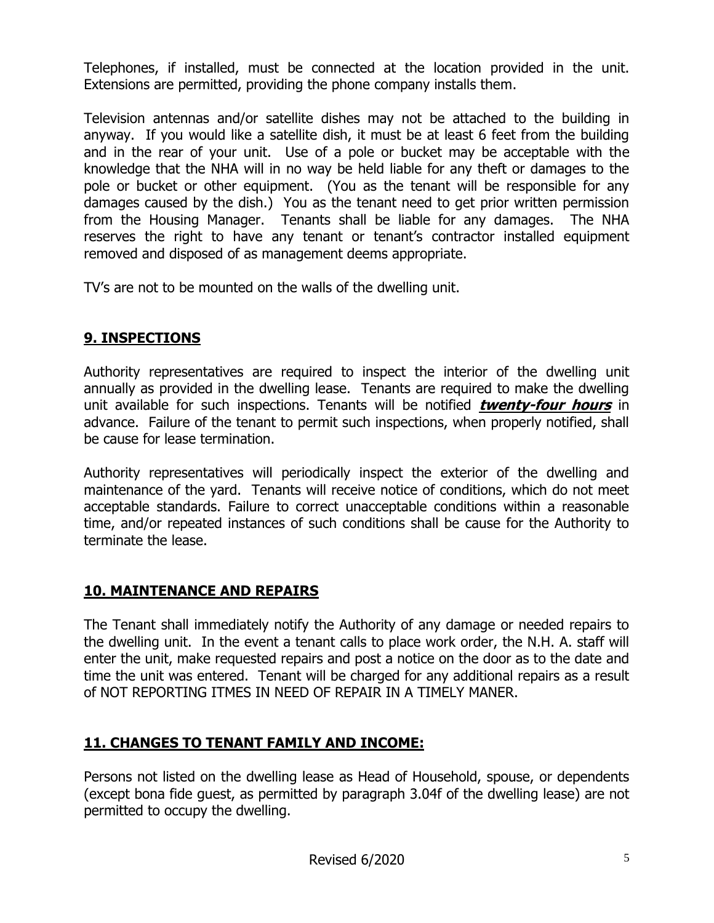Telephones, if installed, must be connected at the location provided in the unit. Extensions are permitted, providing the phone company installs them.

Television antennas and/or satellite dishes may not be attached to the building in anyway. If you would like a satellite dish, it must be at least 6 feet from the building and in the rear of your unit. Use of a pole or bucket may be acceptable with the knowledge that the NHA will in no way be held liable for any theft or damages to the pole or bucket or other equipment. (You as the tenant will be responsible for any damages caused by the dish.) You as the tenant need to get prior written permission from the Housing Manager. Tenants shall be liable for any damages. The NHA reserves the right to have any tenant or tenant's contractor installed equipment removed and disposed of as management deems appropriate.

TV's are not to be mounted on the walls of the dwelling unit.

### **9. INSPECTIONS**

Authority representatives are required to inspect the interior of the dwelling unit annually as provided in the dwelling lease. Tenants are required to make the dwelling unit available for such inspections. Tenants will be notified **twenty-four hours** in advance. Failure of the tenant to permit such inspections, when properly notified, shall be cause for lease termination.

Authority representatives will periodically inspect the exterior of the dwelling and maintenance of the yard. Tenants will receive notice of conditions, which do not meet acceptable standards. Failure to correct unacceptable conditions within a reasonable time, and/or repeated instances of such conditions shall be cause for the Authority to terminate the lease.

# **10. MAINTENANCE AND REPAIRS**

The Tenant shall immediately notify the Authority of any damage or needed repairs to the dwelling unit. In the event a tenant calls to place work order, the N.H. A. staff will enter the unit, make requested repairs and post a notice on the door as to the date and time the unit was entered. Tenant will be charged for any additional repairs as a result of NOT REPORTING ITMES IN NEED OF REPAIR IN A TIMELY MANER.

# **11. CHANGES TO TENANT FAMILY AND INCOME:**

Persons not listed on the dwelling lease as Head of Household, spouse, or dependents (except bona fide guest, as permitted by paragraph 3.04f of the dwelling lease) are not permitted to occupy the dwelling.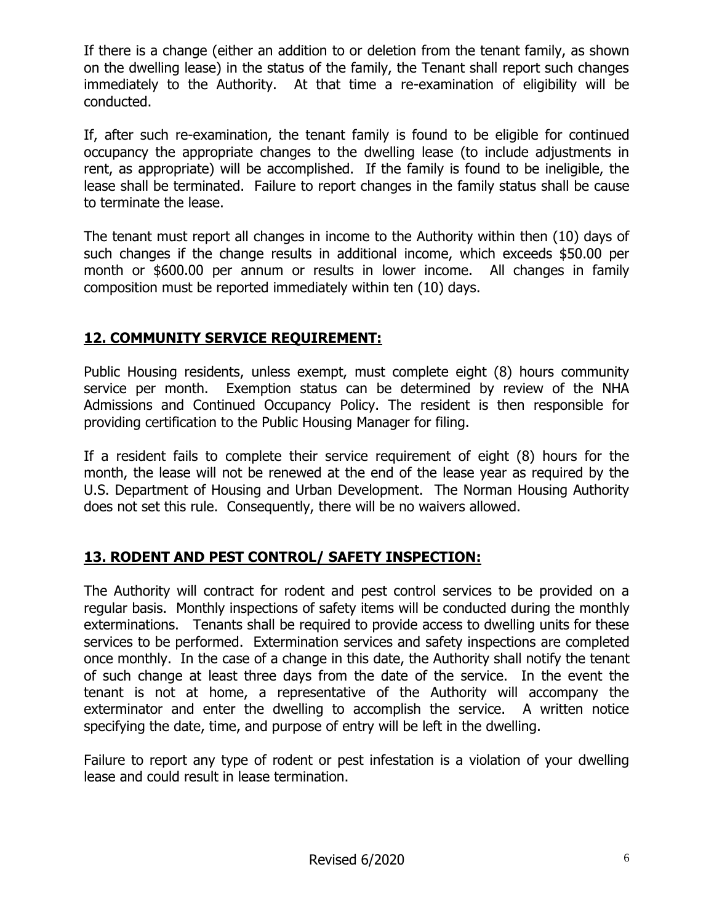If there is a change (either an addition to or deletion from the tenant family, as shown on the dwelling lease) in the status of the family, the Tenant shall report such changes immediately to the Authority. At that time a re-examination of eligibility will be conducted.

If, after such re-examination, the tenant family is found to be eligible for continued occupancy the appropriate changes to the dwelling lease (to include adjustments in rent, as appropriate) will be accomplished. If the family is found to be ineligible, the lease shall be terminated. Failure to report changes in the family status shall be cause to terminate the lease.

The tenant must report all changes in income to the Authority within then (10) days of such changes if the change results in additional income, which exceeds \$50.00 per month or \$600.00 per annum or results in lower income. All changes in family composition must be reported immediately within ten (10) days.

# **12. COMMUNITY SERVICE REQUIREMENT:**

Public Housing residents, unless exempt, must complete eight (8) hours community service per month. Exemption status can be determined by review of the NHA Admissions and Continued Occupancy Policy. The resident is then responsible for providing certification to the Public Housing Manager for filing.

If a resident fails to complete their service requirement of eight (8) hours for the month, the lease will not be renewed at the end of the lease year as required by the U.S. Department of Housing and Urban Development. The Norman Housing Authority does not set this rule. Consequently, there will be no waivers allowed.

# **13. RODENT AND PEST CONTROL/ SAFETY INSPECTION:**

The Authority will contract for rodent and pest control services to be provided on a regular basis. Monthly inspections of safety items will be conducted during the monthly exterminations. Tenants shall be required to provide access to dwelling units for these services to be performed. Extermination services and safety inspections are completed once monthly. In the case of a change in this date, the Authority shall notify the tenant of such change at least three days from the date of the service. In the event the tenant is not at home, a representative of the Authority will accompany the exterminator and enter the dwelling to accomplish the service. A written notice specifying the date, time, and purpose of entry will be left in the dwelling.

Failure to report any type of rodent or pest infestation is a violation of your dwelling lease and could result in lease termination.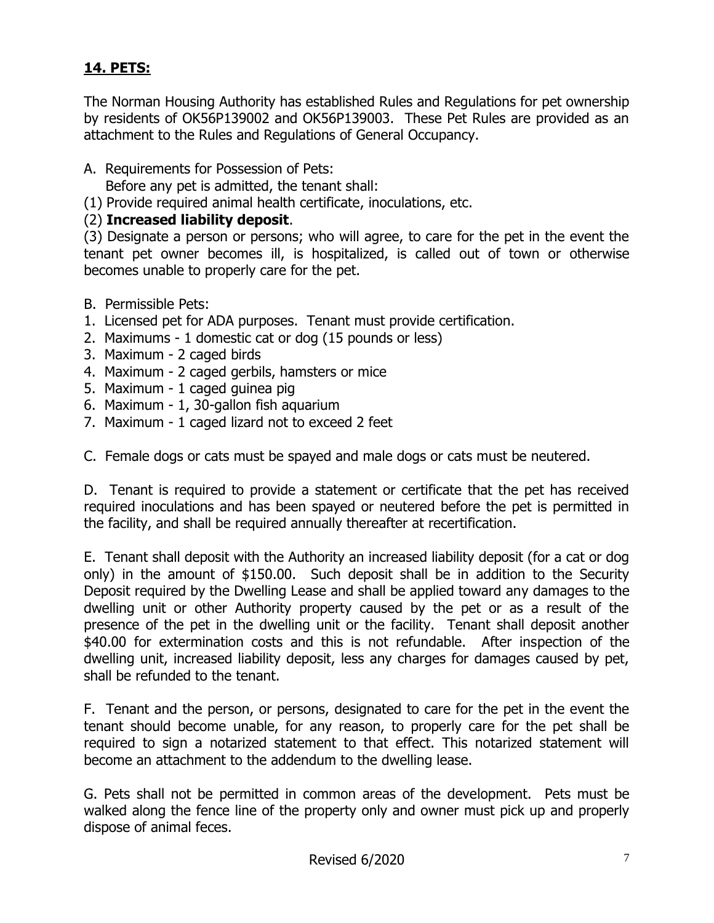## **14. PETS:**

The Norman Housing Authority has established Rules and Regulations for pet ownership by residents of OK56P139002 and OK56P139003. These Pet Rules are provided as an attachment to the Rules and Regulations of General Occupancy.

- A. Requirements for Possession of Pets:
	- Before any pet is admitted, the tenant shall:
- (1) Provide required animal health certificate, inoculations, etc.

#### (2) **Increased liability deposit**.

(3) Designate a person or persons; who will agree, to care for the pet in the event the tenant pet owner becomes ill, is hospitalized, is called out of town or otherwise becomes unable to properly care for the pet.

- B. Permissible Pets:
- 1. Licensed pet for ADA purposes. Tenant must provide certification.
- 2. Maximums 1 domestic cat or dog (15 pounds or less)
- 3. Maximum 2 caged birds
- 4. Maximum 2 caged gerbils, hamsters or mice
- 5. Maximum 1 caged guinea pig
- 6. Maximum 1, 30-gallon fish aquarium
- 7. Maximum 1 caged lizard not to exceed 2 feet

C. Female dogs or cats must be spayed and male dogs or cats must be neutered.

D. Tenant is required to provide a statement or certificate that the pet has received required inoculations and has been spayed or neutered before the pet is permitted in the facility, and shall be required annually thereafter at recertification.

E. Tenant shall deposit with the Authority an increased liability deposit (for a cat or dog only) in the amount of \$150.00. Such deposit shall be in addition to the Security Deposit required by the Dwelling Lease and shall be applied toward any damages to the dwelling unit or other Authority property caused by the pet or as a result of the presence of the pet in the dwelling unit or the facility. Tenant shall deposit another \$40.00 for extermination costs and this is not refundable. After inspection of the dwelling unit, increased liability deposit, less any charges for damages caused by pet, shall be refunded to the tenant.

F. Tenant and the person, or persons, designated to care for the pet in the event the tenant should become unable, for any reason, to properly care for the pet shall be required to sign a notarized statement to that effect. This notarized statement will become an attachment to the addendum to the dwelling lease.

G. Pets shall not be permitted in common areas of the development. Pets must be walked along the fence line of the property only and owner must pick up and properly dispose of animal feces.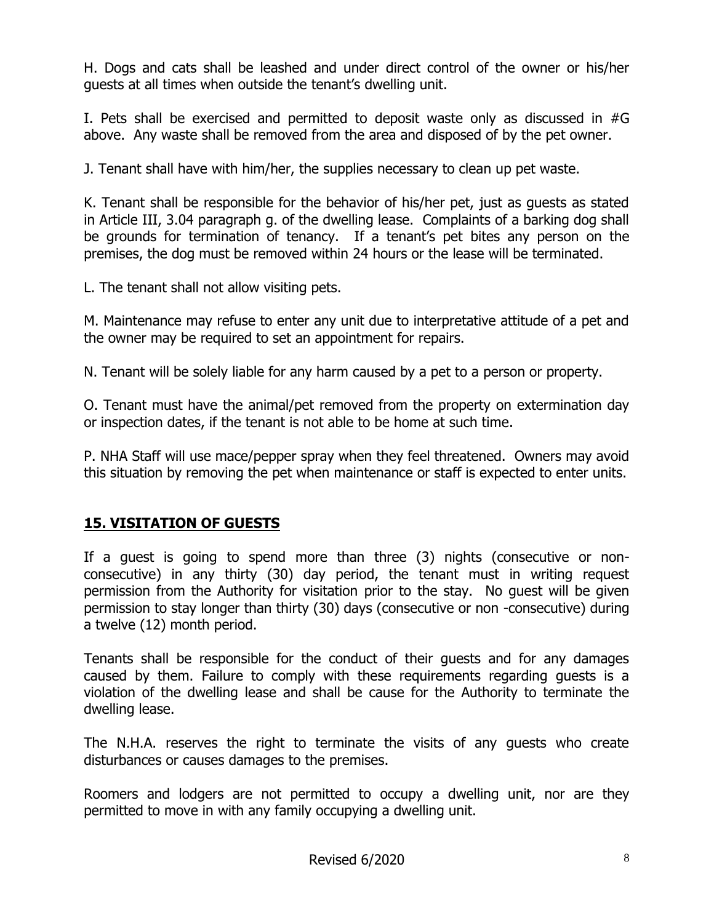H. Dogs and cats shall be leashed and under direct control of the owner or his/her guests at all times when outside the tenant's dwelling unit.

I. Pets shall be exercised and permitted to deposit waste only as discussed in #G above. Any waste shall be removed from the area and disposed of by the pet owner.

J. Tenant shall have with him/her, the supplies necessary to clean up pet waste.

K. Tenant shall be responsible for the behavior of his/her pet, just as guests as stated in Article III, 3.04 paragraph g. of the dwelling lease. Complaints of a barking dog shall be grounds for termination of tenancy. If a tenant's pet bites any person on the premises, the dog must be removed within 24 hours or the lease will be terminated.

L. The tenant shall not allow visiting pets.

M. Maintenance may refuse to enter any unit due to interpretative attitude of a pet and the owner may be required to set an appointment for repairs.

N. Tenant will be solely liable for any harm caused by a pet to a person or property.

O. Tenant must have the animal/pet removed from the property on extermination day or inspection dates, if the tenant is not able to be home at such time.

P. NHA Staff will use mace/pepper spray when they feel threatened. Owners may avoid this situation by removing the pet when maintenance or staff is expected to enter units.

### **15. VISITATION OF GUESTS**

If a guest is going to spend more than three (3) nights (consecutive or nonconsecutive) in any thirty (30) day period, the tenant must in writing request permission from the Authority for visitation prior to the stay. No guest will be given permission to stay longer than thirty (30) days (consecutive or non -consecutive) during a twelve (12) month period.

Tenants shall be responsible for the conduct of their guests and for any damages caused by them. Failure to comply with these requirements regarding guests is a violation of the dwelling lease and shall be cause for the Authority to terminate the dwelling lease.

The N.H.A. reserves the right to terminate the visits of any guests who create disturbances or causes damages to the premises.

Roomers and lodgers are not permitted to occupy a dwelling unit, nor are they permitted to move in with any family occupying a dwelling unit.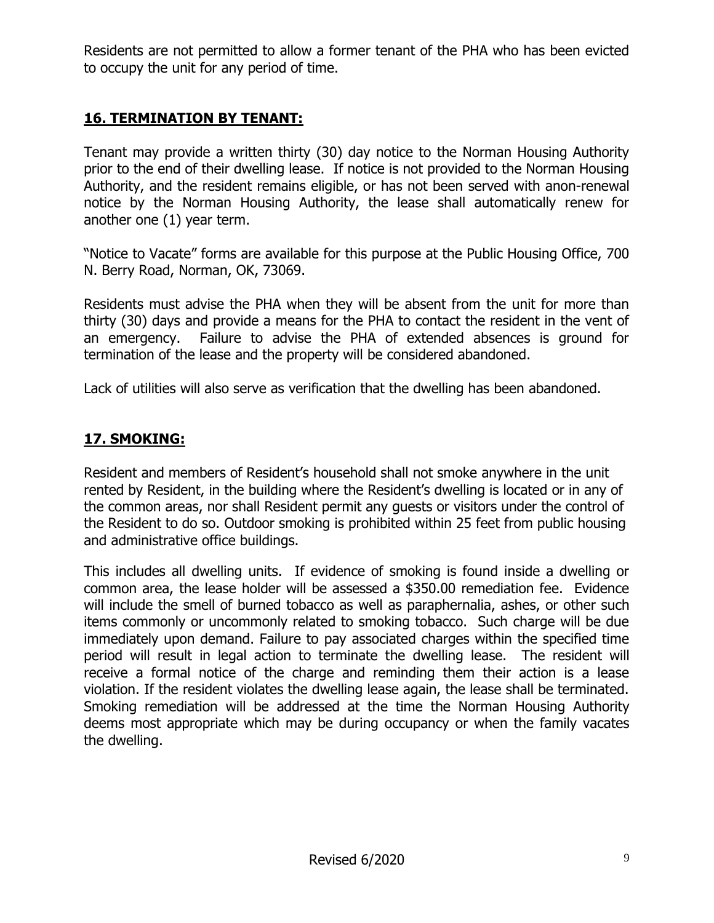Residents are not permitted to allow a former tenant of the PHA who has been evicted to occupy the unit for any period of time.

### **16. TERMINATION BY TENANT:**

Tenant may provide a written thirty (30) day notice to the Norman Housing Authority prior to the end of their dwelling lease. If notice is not provided to the Norman Housing Authority, and the resident remains eligible, or has not been served with anon-renewal notice by the Norman Housing Authority, the lease shall automatically renew for another one (1) year term.

"Notice to Vacate" forms are available for this purpose at the Public Housing Office, 700 N. Berry Road, Norman, OK, 73069.

Residents must advise the PHA when they will be absent from the unit for more than thirty (30) days and provide a means for the PHA to contact the resident in the vent of an emergency. Failure to advise the PHA of extended absences is ground for termination of the lease and the property will be considered abandoned.

Lack of utilities will also serve as verification that the dwelling has been abandoned.

## **17. SMOKING:**

Resident and members of Resident's household shall not smoke anywhere in the unit rented by Resident, in the building where the Resident's dwelling is located or in any of the common areas, nor shall Resident permit any guests or visitors under the control of the Resident to do so. Outdoor smoking is prohibited within 25 feet from public housing and administrative office buildings.

This includes all dwelling units. If evidence of smoking is found inside a dwelling or common area, the lease holder will be assessed a \$350.00 remediation fee. Evidence will include the smell of burned tobacco as well as paraphernalia, ashes, or other such items commonly or uncommonly related to smoking tobacco. Such charge will be due immediately upon demand. Failure to pay associated charges within the specified time period will result in legal action to terminate the dwelling lease. The resident will receive a formal notice of the charge and reminding them their action is a lease violation. If the resident violates the dwelling lease again, the lease shall be terminated. Smoking remediation will be addressed at the time the Norman Housing Authority deems most appropriate which may be during occupancy or when the family vacates the dwelling.